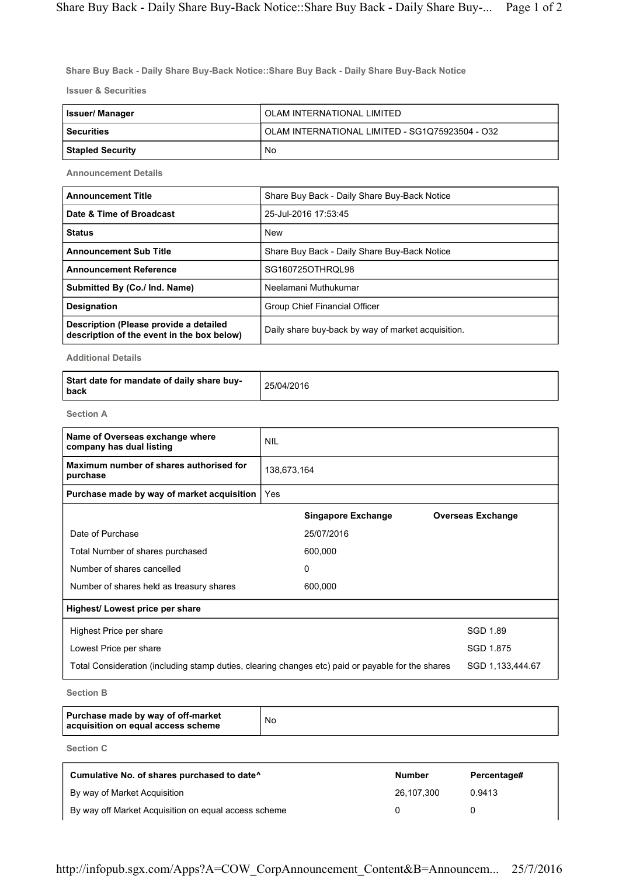Share Buy Back - Daily Share Buy-Back Notice::Share Buy Back - Daily Share Buy-Back Notice

Issuer & Securities

| Issuer/ Manager         | OLAM INTERNATIONAL LIMITED                      |
|-------------------------|-------------------------------------------------|
| <b>Securities</b>       | OLAM INTERNATIONAL LIMITED - SG1Q75923504 - O32 |
| <b>Stapled Security</b> | No                                              |

Announcement Details

| <b>Announcement Title</b>                                                            | Share Buy Back - Daily Share Buy-Back Notice       |
|--------------------------------------------------------------------------------------|----------------------------------------------------|
| Date & Time of Broadcast                                                             | 25-Jul-2016 17:53:45                               |
| <b>Status</b>                                                                        | <b>New</b>                                         |
| <b>Announcement Sub Title</b>                                                        | Share Buy Back - Daily Share Buy-Back Notice       |
| <b>Announcement Reference</b>                                                        | SG160725OTHROL98                                   |
| Submitted By (Co./ Ind. Name)                                                        | Neelamani Muthukumar                               |
| <b>Designation</b>                                                                   | Group Chief Financial Officer                      |
| Description (Please provide a detailed<br>description of the event in the box below) | Daily share buy-back by way of market acquisition. |

Additional Details

| Start date for mandate of daily share buy-<br>l back | 25/04/2016 |
|------------------------------------------------------|------------|
|------------------------------------------------------|------------|

Section A

| Name of Overseas exchange where<br>company has dual listing                                                           | <b>NIL</b>  |                           |                          |
|-----------------------------------------------------------------------------------------------------------------------|-------------|---------------------------|--------------------------|
| Maximum number of shares authorised for<br>purchase                                                                   | 138,673,164 |                           |                          |
| Purchase made by way of market acquisition                                                                            | Yes         |                           |                          |
|                                                                                                                       |             | <b>Singapore Exchange</b> | <b>Overseas Exchange</b> |
| Date of Purchase                                                                                                      |             | 25/07/2016                |                          |
| Total Number of shares purchased                                                                                      |             | 600,000                   |                          |
| Number of shares cancelled                                                                                            |             | 0                         |                          |
| Number of shares held as treasury shares                                                                              |             | 600,000                   |                          |
| Highest/ Lowest price per share                                                                                       |             |                           |                          |
| Highest Price per share                                                                                               |             |                           | SGD 1.89                 |
| Lowest Price per share                                                                                                |             |                           | SGD 1.875                |
| SGD 1,133,444.67<br>Total Consideration (including stamp duties, clearing changes etc) paid or payable for the shares |             |                           |                          |
|                                                                                                                       |             |                           |                          |

Section B

| Purchase made by way of off-market<br>acquisition on equal access scheme | No |
|--------------------------------------------------------------------------|----|
|--------------------------------------------------------------------------|----|

Section C

| Cumulative No. of shares purchased to date <sup>^</sup> | <b>Number</b> | Percentage# |
|---------------------------------------------------------|---------------|-------------|
| By way of Market Acquisition                            | 26.107.300    | 0.9413      |
| By way off Market Acquisition on equal access scheme    |               |             |